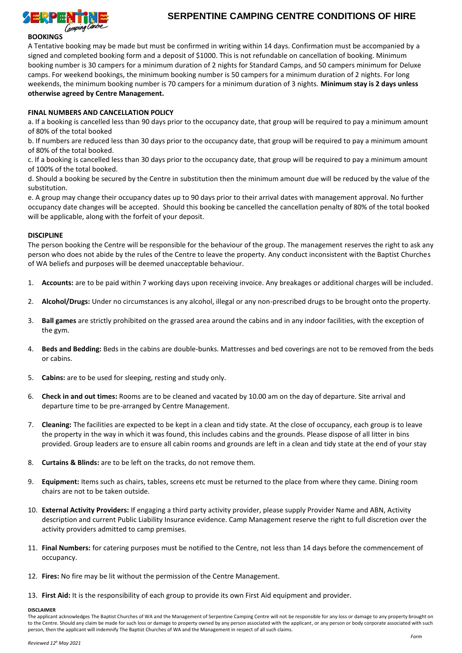

# **SERPENTINE CAMPING CENTRE CONDITIONS OF HIRE**

### **BOOKINGS**

A Tentative booking may be made but must be confirmed in writing within 14 days. Confirmation must be accompanied by a signed and completed booking form and a deposit of \$1000. This is not refundable on cancellation of booking. Minimum booking number is 30 campers for a minimum duration of 2 nights for Standard Camps, and 50 campers minimum for Deluxe camps. For weekend bookings, the minimum booking number is 50 campers for a minimum duration of 2 nights. For long weekends, the minimum booking number is 70 campers for a minimum duration of 3 nights. **Minimum stay is 2 days unless otherwise agreed by Centre Management.**

#### **FINAL NUMBERS AND CANCELLATION POLICY**

a. If a booking is cancelled less than 90 days prior to the occupancy date, that group will be required to pay a minimum amount of 80% of the total booked

b. If numbers are reduced less than 30 days prior to the occupancy date, that group will be required to pay a minimum amount of 80% of the total booked.

c. If a booking is cancelled less than 30 days prior to the occupancy date, that group will be required to pay a minimum amount of 100% of the total booked.

d. Should a booking be secured by the Centre in substitution then the minimum amount due will be reduced by the value of the substitution.

e. A group may change their occupancy dates up to 90 days prior to their arrival dates with management approval. No further occupancy date changes will be accepted. Should this booking be cancelled the cancellation penalty of 80% of the total booked will be applicable, along with the forfeit of your deposit.

#### **DISCIPLINE**

The person booking the Centre will be responsible for the behaviour of the group. The management reserves the right to ask any person who does not abide by the rules of the Centre to leave the property. Any conduct inconsistent with the Baptist Churches of WA beliefs and purposes will be deemed unacceptable behaviour.

- 1. **Accounts:** are to be paid within 7 working days upon receiving invoice. Any breakages or additional charges will be included.
- 2. **Alcohol/Drugs:** Under no circumstances is any alcohol, illegal or any non-prescribed drugs to be brought onto the property.
- 3. **Ball games** are strictly prohibited on the grassed area around the cabins and in any indoor facilities, with the exception of the gym.
- 4. **Beds and Bedding:** Beds in the cabins are double-bunks. Mattresses and bed coverings are not to be removed from the beds or cabins.
- 5. **Cabins:** are to be used for sleeping, resting and study only.
- 6. **Check in and out times:** Rooms are to be cleaned and vacated by 10.00 am on the day of departure. Site arrival and departure time to be pre-arranged by Centre Management.
- 7. **Cleaning:** The facilities are expected to be kept in a clean and tidy state. At the close of occupancy, each group is to leave the property in the way in which it was found, this includes cabins and the grounds. Please dispose of all litter in bins provided. Group leaders are to ensure all cabin rooms and grounds are left in a clean and tidy state at the end of your stay
- 8. **Curtains & Blinds:** are to be left on the tracks, do not remove them.
- 9. **Equipment:** Items such as chairs, tables, screens etc must be returned to the place from where they came. Dining room chairs are not to be taken outside.
- 10. **External Activity Providers:** If engaging a third party activity provider, please supply Provider Name and ABN, Activity description and current Public Liability Insurance evidence. Camp Management reserve the right to full discretion over the activity providers admitted to camp premises.
- 11. **Final Numbers:** for catering purposes must be notified to the Centre, not less than 14 days before the commencement of occupancy.
- 12. **Fires:** No fire may be lit without the permission of the Centre Management.
- 13. **First Aid:** It is the responsibility of each group to provide its own First Aid equipment and provider.

#### **DISCLAIMER**

The applicant acknowledges The Baptist Churches of WA and the Management of Serpentine Camping Centre will not be responsible for any loss or damage to any property brought on to the Centre. Should any claim be made for such loss or damage to property owned by any person associated with the applicant, or any person or body corporate associated with such person, then the applicant will indemnify The Baptist Churches of WA and the Management in respect of all such claims.